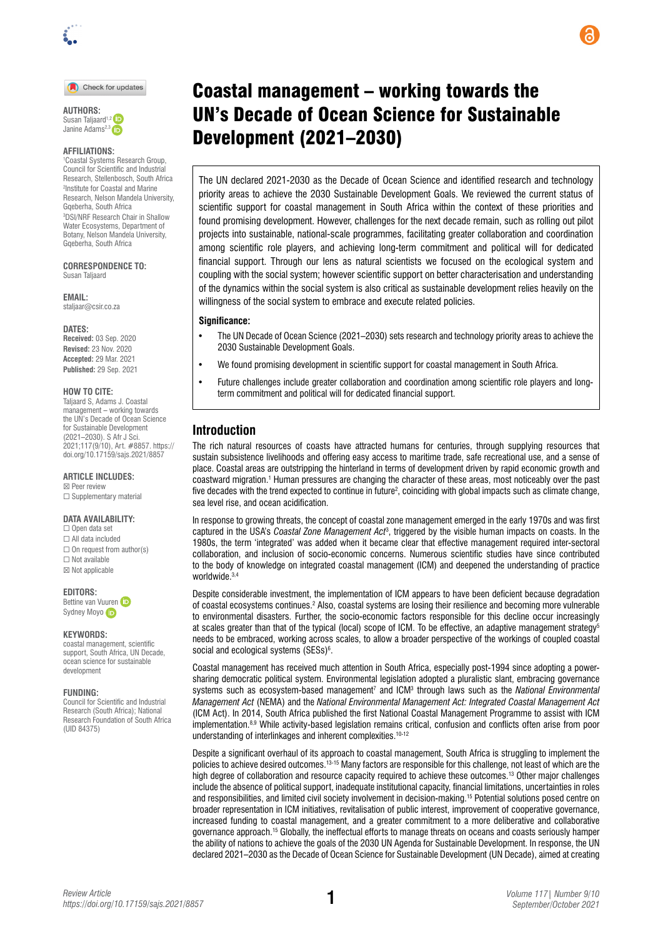

#### Check for updates

**AUTHORS:**  Susan Taljaard<sup>1,2</sup> Janine Adams<sup>2,3</sup>

#### **AFFILIATIONS:**

1 Coastal Systems Research Group, Council for Scientific and Industrial Research, Stellenbosch, South Africa 2 Institute for Coastal and Marine Research, Nelson Mandela University, Gqeberha, South Africa 3 DSI/NRF Research Chair in Shallow Water Ecosystems, Department of Botany, Nelson Mandela University, Gqeberha, South Africa

**CORRESPONDENCE TO:**  Susan Taljaard

**EMAIL:**  [staljaar@csir.co.za](mailto:staljaar@csir.co.za)

#### **DATES:**

**Received: 03 Sep. 2020 Revised:** 23 Nov. 2020 **Accepted:** 29 Mar. 2021 **Published:** 29 Sep. 2021

#### **HOW TO CITE:**

Taljaard S, Adams J. Coastal management – working towards the UN's Decade of Ocean Science for Sustainable Development (2021–2030). S Afr J Sci. 2021;117(9/10), Art. #8857. [https://](https://doi.org/10.17159/sajs.2021/8857) [doi.org/10.17159/sajs.2021/8857](https://doi.org/10.17159/sajs.2021/8857)

#### **ARTICLE INCLUDES:**

☒ Peer review ☐ Supplementary material

#### **DATA AVAILABILITY:**

☐ Open data set ☐ All data included  $\Box$  On request from author(s)  $\Box$  Not available ☒ Not applicable

#### **EDITORS:**

Bettine va[n](https://orcid.org/0000-0002-5334-5358) Vuuren Sydney Moyo

#### **KEYWORDS:**

coastal management, scientific support, South Africa, UN Decade, ocean science for sustainable development

#### **FUNDING:**

Council for Scientific and Industrial Research (South Africa); National Research Foundation of South Africa (UID 84375)

# Coastal management – working towards the UN's Decade of Ocean Science for Sustainable Development (2021–2030)

The UN declared 2021-2030 as the Decade of Ocean Science and identified research and technology priority areas to achieve the 2030 Sustainable Development Goals. We reviewed the current status of scientific support for coastal management in South Africa within the context of these priorities and found promising development. However, challenges for the next decade remain, such as rolling out pilot projects into sustainable, national-scale programmes, facilitating greater collaboration and coordination among scientific role players, and achieving long-term commitment and political will for dedicated financial support. Through our lens as natural scientists we focused on the ecological system and coupling with the social system; however scientific support on better characterisation and understanding of the dynamics within the social system is also critical as sustainable development relies heavily on the willingness of the social system to embrace and execute related policies.

#### **Significance:**

- The UN Decade of Ocean Science (2021–2030) sets research and technology priority areas to achieve the 2030 Sustainable Development Goals.
- We found promising development in scientific support for coastal management in South Africa.
- Future challenges include greater collaboration and coordination among scientific role players and longterm commitment and political will for dedicated financial support.

### **Introduction**

The rich natural resources of coasts have attracted humans for centuries, through supplying resources that sustain subsistence livelihoods and offering easy access to maritime trade, safe recreational use, and a sense of place. Coastal areas are outstripping the hinterland in terms of development driven by rapid economic growth and coastward migration.<sup>1</sup> Human pressures are changing the character of these areas, most noticeably over the past five decades with the trend expected to continue in future<sup>2</sup>, coinciding with global impacts such as climate change, sea level rise, and ocean acidification.

In response to growing threats, the concept of coastal zone management emerged in the early 1970s and was first captured in the USA's *Coastal Zone Management Act*<sup>3</sup> , triggered by the visible human impacts on coasts. In the 1980s, the term 'integrated' was added when it became clear that effective management required inter-sectoral collaboration, and inclusion of socio-economic concerns. Numerous scientific studies have since contributed to the body of knowledge on integrated coastal management (ICM) and deepened the understanding of practice worldwide.3,4

Despite considerable investment, the implementation of ICM appears to have been deficient because degradation of coastal ecosystems continues.<sup>2</sup> Also, coastal systems are losing their resilience and becoming more vulnerable to environmental disasters. Further, the socio-economic factors responsible for this decline occur increasingly at scales greater than that of the typical (local) scope of ICM. To be effective, an adaptive management strategy<sup>5</sup> needs to be embraced, working across scales, to allow a broader perspective of the workings of coupled coastal social and ecological systems (SESs)<sup>6</sup>.

Coastal management has received much attention in South Africa, especially post-1994 since adopting a powersharing democratic political system. Environmental legislation adopted a pluralistic slant, embracing governance systems such as ecosystem-based management<sup>7</sup> and ICM<sup>3</sup> through laws such as the *National Environmental Management Act* (NEMA) and the *National Environmental Management Act: Integrated Coastal Management Act* (ICM Act). In 2014, South Africa published the first National Coastal Management Programme to assist with ICM implementation.8,9 While activity-based legislation remains critical, confusion and conflicts often arise from poor understanding of interlinkages and inherent complexities.<sup>10-12</sup>

Despite a significant overhaul of its approach to coastal management, South Africa is struggling to implement the policies to achieve desired outcomes.<sup>13-15</sup> Many factors are responsible for this challenge, not least of which are the high degree of collaboration and resource capacity required to achieve these outcomes.13 Other major challenges include the absence of political support, inadequate institutional capacity, financial limitations, uncertainties in roles and responsibilities, and limited civil society involvement in decision-making.15 Potential solutions posed centre on broader representation in ICM initiatives, revitalisation of public interest, improvement of cooperative governance, increased funding to coastal management, and a greater commitment to a more deliberative and collaborative governance approach.15 Globally, the ineffectual efforts to manage threats on oceans and coasts seriously hamper the ability of nations to achieve the goals of the 2030 UN Agenda for Sustainable Development. In response, the UN declared 2021–2030 as the Decade of Ocean Science for Sustainable Development (UN Decade), aimed at creating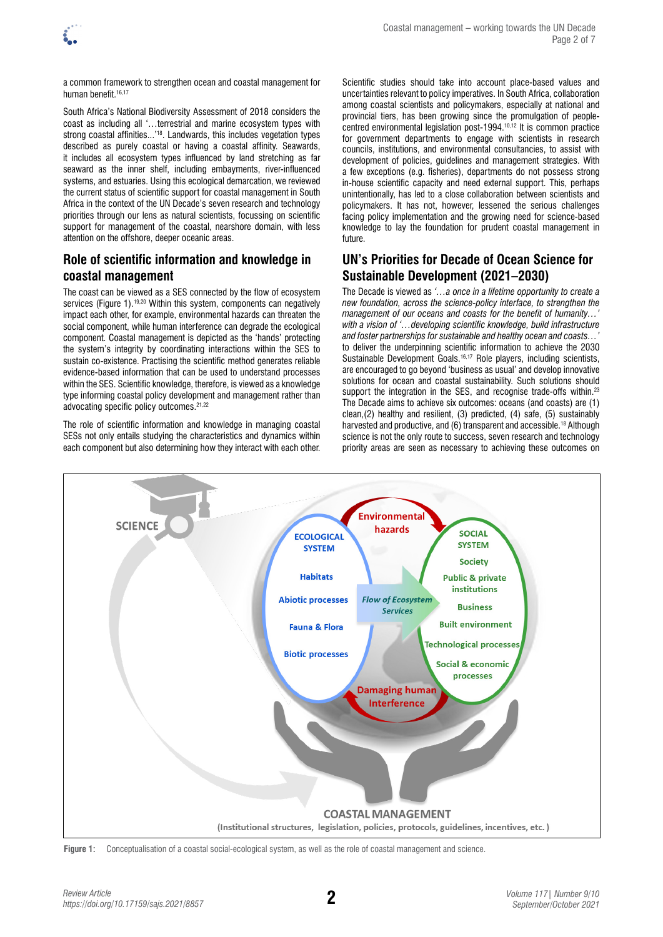

a common framework to strengthen ocean and coastal management for human benefit.<sup>16,17</sup>

South Africa's National Biodiversity Assessment of 2018 considers the coast as including all '…terrestrial and marine ecosystem types with strong coastal affinities...<sup>'18</sup>. Landwards, this includes vegetation types described as purely coastal or having a coastal affinity. Seawards, it includes all ecosystem types influenced by land stretching as far seaward as the inner shelf, including embayments, river-influenced systems, and estuaries. Using this ecological demarcation, we reviewed the current status of scientific support for coastal management in South Africa in the context of the UN Decade's seven research and technology priorities through our lens as natural scientists, focussing on scientific support for management of the coastal, nearshore domain, with less attention on the offshore, deeper oceanic areas.

# **Role of scientific information and knowledge in coastal management**

The coast can be viewed as a SES connected by the flow of ecosystem services (Figure 1).<sup>19,20</sup> Within this system, components can negatively impact each other, for example, environmental hazards can threaten the social component, while human interference can degrade the ecological component. Coastal management is depicted as the 'hands' protecting the system's integrity by coordinating interactions within the SES to sustain co-existence. Practising the scientific method generates reliable evidence-based information that can be used to understand processes within the SES. Scientific knowledge, therefore, is viewed as a knowledge type informing coastal policy development and management rather than advocating specific policy outcomes.<sup>21,22</sup>

The role of scientific information and knowledge in managing coastal SESs not only entails studying the characteristics and dynamics within each component but also determining how they interact with each other.

Scientific studies should take into account place-based values and uncertainties relevant to policy imperatives. In South Africa, collaboration among coastal scientists and policymakers, especially at national and provincial tiers, has been growing since the promulgation of peoplecentred environmental legislation post-1994.10,12 It is common practice for government departments to engage with scientists in research councils, institutions, and environmental consultancies, to assist with development of policies, guidelines and management strategies. With a few exceptions (e.g. fisheries), departments do not possess strong in-house scientific capacity and need external support. This, perhaps unintentionally, has led to a close collaboration between scientists and policymakers. It has not, however, lessened the serious challenges facing policy implementation and the growing need for science-based knowledge to lay the foundation for prudent coastal management in future.

# **UN's Priorities for Decade of Ocean Science for Sustainable Development (2021–2030)**

The Decade is viewed as *'…a once in a lifetime opportunity to create a new foundation, across the science-policy interface, to strengthen the management of our oceans and coasts for the benefit of humanity... with a vision of '…developing scientific knowledge, build infrastructure and foster partnerships for sustainable and healthy ocean and coasts…'* to deliver the underpinning scientific information to achieve the 2030 Sustainable Development Goals.<sup>16,17</sup> Role players, including scientists, are encouraged to go beyond 'business as usual' and develop innovative solutions for ocean and coastal sustainability. Such solutions should support the integration in the SES, and recognise trade-offs within.<sup>23</sup> The Decade aims to achieve six outcomes: oceans (and coasts) are (1) clean,(2) healthy and resilient, (3) predicted, (4) safe, (5) sustainably harvested and productive, and (6) transparent and accessible.<sup>18</sup> Although science is not the only route to success, seven research and technology priority areas are seen as necessary to achieving these outcomes on



**Figure 1:** Conceptualisation of a coastal social-ecological system, as well as the role of coastal management and science.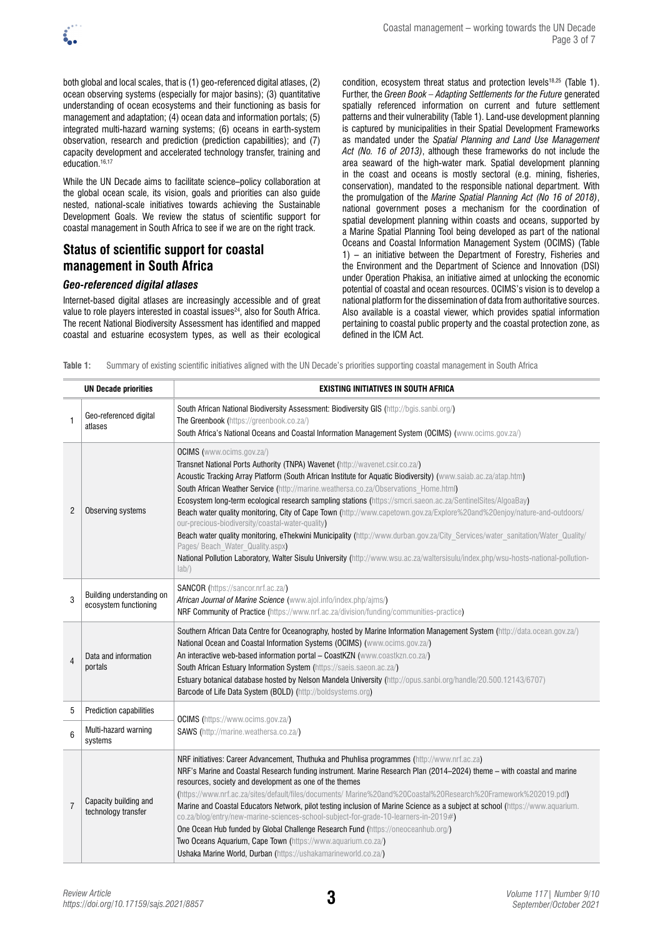

both global and local scales, that is (1) geo-referenced digital atlases, (2) ocean observing systems (especially for major basins); (3) quantitative understanding of ocean ecosystems and their functioning as basis for management and adaptation; (4) ocean data and information portals; (5) integrated multi-hazard warning systems; (6) oceans in earth-system observation, research and prediction (prediction capabilities); and (7) capacity development and accelerated technology transfer, training and education.<sup>16,17</sup>

While the UN Decade aims to facilitate science–policy collaboration at the global ocean scale, its vision, goals and priorities can also guide nested, national-scale initiatives towards achieving the Sustainable Development Goals. We review the status of scientific support for coastal management in South Africa to see if we are on the right track.

# **Status of scientific support for coastal management in South Africa**

### *Geo-referenced digital atlases*

Internet-based digital atlases are increasingly accessible and of great value to role players interested in coastal issues<sup>24</sup>, also for South Africa. The recent National Biodiversity Assessment has identified and mapped coastal and estuarine ecosystem types, as well as their ecological condition, ecosystem threat status and protection levels<sup>18,25</sup> (Table 1). Further, the *Green Book – Adapting Settlements for the Future* generated spatially referenced information on current and future settlement patterns and their vulnerability (Table 1). Land-use development planning is captured by municipalities in their Spatial Development Frameworks as mandated under the *Spatial Planning and Land Use Management Act (No. 16 of 2013)*, although these frameworks do not include the area seaward of the high-water mark. Spatial development planning in the coast and oceans is mostly sectoral (e.g. mining, fisheries, conservation), mandated to the responsible national department. With the promulgation of the *Marine Spatial Planning Act (No 16 of 2018)*, national government poses a mechanism for the coordination of spatial development planning within coasts and oceans, supported by a Marine Spatial Planning Tool being developed as part of the national Oceans and Coastal Information Management System (OCIMS) (Table 1) – an initiative between the Department of Forestry, Fisheries and the Environment and the Department of Science and Innovation (DSI) under Operation Phakisa, an initiative aimed at unlocking the economic potential of coastal and ocean resources. OCIMS's vision is to develop a national platform for the dissemination of data from authoritative sources. Also available is a coastal viewer, which provides spatial information pertaining to coastal public property and the coastal protection zone, as defined in the ICM Act.

**Table 1:** Summary of existing scientific initiatives aligned with the UN Decade's priorities supporting coastal management in South Africa

| <b>UN Decade priorities</b> |                                                    | EXISTING INITIATIVES IN SOUTH AFRICA                                                                                                                                                                                                                                                                                                                                                                                                                                                                                                                                                                                                                                                                                                                                                                                                                                                                                                                    |
|-----------------------------|----------------------------------------------------|---------------------------------------------------------------------------------------------------------------------------------------------------------------------------------------------------------------------------------------------------------------------------------------------------------------------------------------------------------------------------------------------------------------------------------------------------------------------------------------------------------------------------------------------------------------------------------------------------------------------------------------------------------------------------------------------------------------------------------------------------------------------------------------------------------------------------------------------------------------------------------------------------------------------------------------------------------|
| 1                           | Geo-referenced digital<br>atlases                  | South African National Biodiversity Assessment: Biodiversity GIS (http://bgis.sanbi.org/)<br>The Greenbook (https://greenbook.co.za/)<br>South Africa's National Oceans and Coastal Information Management System (OCIMS) (www.ocims.gov.za/)                                                                                                                                                                                                                                                                                                                                                                                                                                                                                                                                                                                                                                                                                                           |
| $\overline{2}$              | Observing systems                                  | <b>OCIMS</b> (www.ocims.gov.za/)<br>Transnet National Ports Authority (TNPA) Wavenet (http://wavenet.csir.co.za/)<br>Acoustic Tracking Array Platform (South African Institute for Aquatic Biodiversity) (www.saiab.ac.za/atap.htm)<br>South African Weather Service (http://marine.weathersa.co.za/Observations Home.html)<br>Ecosystem long-term ecological research sampling stations (https://smcri.saeon.ac.za/SentinelSites/AlgoaBay)<br>Beach water quality monitoring, City of Cape Town (http://www.capetown.gov.za/Explore%20and%20enjoy/nature-and-outdoors/<br>our-precious-biodiversity/coastal-water-quality)<br>Beach water quality monitoring, eThekwini Municipality (http://www.durban.gov.za/City Services/water sanitation/Water Quality/<br>Pages/ Beach_Water_Quality.aspx)<br>National Pollution Laboratory, Walter Sisulu University (http://www.wsu.ac.za/waltersisulu/index.php/wsu-hosts-national-pollution-<br>$ ab\rangle$ |
| 3                           | Building understanding on<br>ecosystem functioning | SANCOR (https://sancor.nrf.ac.za/)<br>African Journal of Marine Science (www.ajol.info/index.php/ajms/)<br>NRF Community of Practice (https://www.nrf.ac.za/division/funding/communities-practice)                                                                                                                                                                                                                                                                                                                                                                                                                                                                                                                                                                                                                                                                                                                                                      |
| $\overline{4}$              | Data and information<br>portals                    | Southern African Data Centre for Oceanography, hosted by Marine Information Management System (http://data.ocean.gov.za/)<br>National Ocean and Coastal Information Systems (OCIMS) (www.ocims.gov.za/)<br>An interactive web-based information portal - CoastKZN (www.coastkzn.co.za/)<br>South African Estuary Information System (https://saeis.saeon.ac.za/)<br>Estuary botanical database hosted by Nelson Mandela University (http://opus.sanbi.org/handle/20.500.12143/6707)<br>Barcode of Life Data System (BOLD) (http://boldsystems.org)                                                                                                                                                                                                                                                                                                                                                                                                      |
| 5                           | Prediction capabilities                            | <b>OCIMS</b> (https://www.ocims.gov.za/)<br><b>SAWS</b> (http://marine.weathersa.co.za/)                                                                                                                                                                                                                                                                                                                                                                                                                                                                                                                                                                                                                                                                                                                                                                                                                                                                |
| 6                           | Multi-hazard warning<br>systems                    |                                                                                                                                                                                                                                                                                                                                                                                                                                                                                                                                                                                                                                                                                                                                                                                                                                                                                                                                                         |
| $\overline{7}$              | Capacity building and<br>technology transfer       | NRF initiatives: Career Advancement, Thuthuka and Phuhlisa programmes (http://www.nrf.ac.za)<br>NRF's Marine and Coastal Research funding instrument. Marine Research Plan (2014–2024) theme - with coastal and marine<br>resources, society and development as one of the themes<br>(https://www.nrf.ac.za/sites/default/files/documents/ Marine%20and%20Coastal%20Research%20Framework%202019.pdf)<br>Marine and Coastal Educators Network, pilot testing inclusion of Marine Science as a subject at school (https://www.aquarium.<br>co.za/blog/entry/new-marine-sciences-school-subject-for-grade-10-learners-in-2019#)<br>One Ocean Hub funded by Global Challenge Research Fund (https://oneoceanhub.org/)<br>Two Oceans Aquarium, Cape Town (https://www.aquarium.co.za/)<br>Ushaka Marine World, Durban (https://ushakamarineworld.co.za/)                                                                                                     |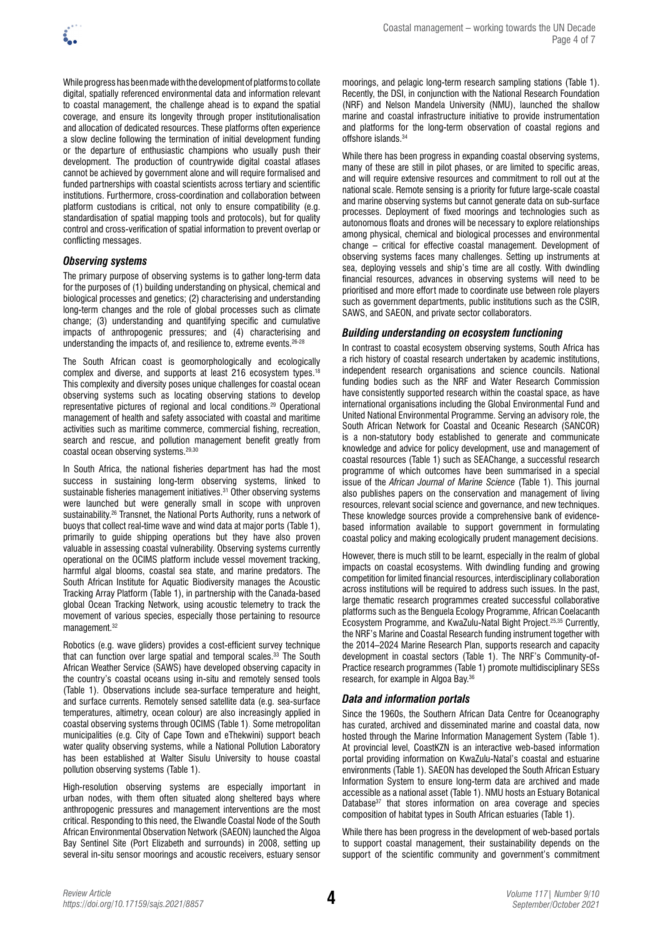

While progress has been made with the development of platforms to collate digital, spatially referenced environmental data and information relevant to coastal management, the challenge ahead is to expand the spatial coverage, and ensure its longevity through proper institutionalisation and allocation of dedicated resources. These platforms often experience a slow decline following the termination of initial development funding or the departure of enthusiastic champions who usually push their development. The production of countrywide digital coastal atlases cannot be achieved by government alone and will require formalised and funded partnerships with coastal scientists across tertiary and scientific institutions. Furthermore, cross-coordination and collaboration between platform custodians is critical, not only to ensure compatibility (e.g. standardisation of spatial mapping tools and protocols), but for quality control and cross-verification of spatial information to prevent overlap or conflicting messages.

### *Observing systems*

The primary purpose of observing systems is to gather long-term data for the purposes of (1) building understanding on physical, chemical and biological processes and genetics; (2) characterising and understanding long-term changes and the role of global processes such as climate change; (3) understanding and quantifying specific and cumulative impacts of anthropogenic pressures; and (4) characterising and understanding the impacts of, and resilience to, extreme events.<sup>26-</sup>

The South African coast is geomorphologically and ecologically complex and diverse, and supports at least 216 ecosystem types.<sup>18</sup> This complexity and diversity poses unique challenges for coastal ocean observing systems such as locating observing stations to develop representative pictures of regional and local conditions.29 Operational management of health and safety associated with coastal and maritime activities such as maritime commerce, commercial fishing, recreation, search and rescue, and pollution management benefit greatly from coastal ocean observing systems.29,30

In South Africa, the national fisheries department has had the most success in sustaining long-term observing systems, linked to sustainable fisheries management initiatives.<sup>31</sup> Other observing systems were launched but were generally small in scope with unproven sustainability.<sup>26</sup> Transnet, the National Ports Authority, runs a network of buoys that collect real-time wave and wind data at major ports (Table 1), primarily to guide shipping operations but they have also proven valuable in assessing coastal vulnerability. Observing systems currently operational on the OCIMS platform include vessel movement tracking, harmful algal blooms, coastal sea state, and marine predators. The South African Institute for Aquatic Biodiversity manages the Acoustic Tracking Array Platform (Table 1), in partnership with the Canada-based global Ocean Tracking Network, using acoustic telemetry to track the movement of various species, especially those pertaining to resource management.32

Robotics (e.g. wave gliders) provides a cost-efficient survey technique that can function over large spatial and temporal scales.<sup>33</sup> The South African Weather Service (SAWS) have developed observing capacity in the country's coastal oceans using in-situ and remotely sensed tools (Table 1). Observations include sea-surface temperature and height, and surface currents. Remotely sensed satellite data (e.g. sea-surface temperatures, altimetry, ocean colour) are also increasingly applied in coastal observing systems through OCIMS (Table 1). Some metropolitan municipalities (e.g. City of Cape Town and eThekwini) support beach water quality observing systems, while a National Pollution Laboratory has been established at Walter Sisulu University to house coastal pollution observing systems (Table 1).

High-resolution observing systems are especially important in urban nodes, with them often situated along sheltered bays where anthropogenic pressures and management interventions are the most critical. Responding to this need, the Elwandle Coastal Node of the South African Environmental Observation Network (SAEON) launched the Algoa Bay Sentinel Site (Port Elizabeth and surrounds) in 2008, setting up several in-situ sensor moorings and acoustic receivers, estuary sensor moorings, and pelagic long-term research sampling stations (Table 1). Recently, the DSI, in conjunction with the National Research Foundation (NRF) and Nelson Mandela University (NMU), launched the shallow marine and coastal infrastructure initiative to provide instrumentation and platforms for the long-term observation of coastal regions and offshore islands.<sup>34</sup>

While there has been progress in expanding coastal observing systems, many of these are still in pilot phases, or are limited to specific areas, and will require extensive resources and commitment to roll out at the national scale. Remote sensing is a priority for future large-scale coastal and marine observing systems but cannot generate data on sub-surface processes. Deployment of fixed moorings and technologies such as autonomous floats and drones will be necessary to explore relationships among physical, chemical and biological processes and environmental change – critical for effective coastal management. Development of observing systems faces many challenges. Setting up instruments at sea, deploying vessels and ship's time are all costly. With dwindling financial resources, advances in observing systems will need to be prioritised and more effort made to coordinate use between role players such as government departments, public institutions such as the CSIR, SAWS, and SAEON, and private sector collaborators.

#### *Building understanding on ecosystem functioning*

In contrast to coastal ecosystem observing systems, South Africa has a rich history of coastal research undertaken by academic institutions, independent research organisations and science councils. National funding bodies such as the NRF and Water Research Commission have consistently supported research within the coastal space, as have international organisations including the Global Environmental Fund and United National Environmental Programme. Serving an advisory role, the South African Network for Coastal and Oceanic Research (SANCOR) is a non-statutory body established to generate and communicate knowledge and advice for policy development, use and management of coastal resources (Table 1) such as SEAChange, a successful research programme of which outcomes have been summarised in a special issue of the *African Journal of Marine Science* (Table 1). This journal also publishes papers on the conservation and management of living resources, relevant social science and governance, and new techniques. These knowledge sources provide a comprehensive bank of evidencebased information available to support government in formulating coastal policy and making ecologically prudent management decisions.

However, there is much still to be learnt, especially in the realm of global impacts on coastal ecosystems. With dwindling funding and growing competition for limited financial resources, interdisciplinary collaboration across institutions will be required to address such issues. In the past, large thematic research programmes created successful collaborative platforms such as the Benguela Ecology Programme, African Coelacanth Ecosystem Programme, and KwaZulu-Natal Bight Project.25,35 Currently, the NRF's Marine and Coastal Research funding instrument together with the 2014–2024 Marine Research Plan, supports research and capacity development in coastal sectors (Table 1). The NRF's Community-of-Practice research programmes (Table 1) promote multidisciplinary SESs research, for example in Algoa Bay.<sup>36</sup>

### *Data and information portals*

Since the 1960s, the Southern African Data Centre for Oceanography has curated, archived and disseminated marine and coastal data, now hosted through the Marine Information Management System (Table 1). At provincial level, CoastKZN is an interactive web-based information portal providing information on KwaZulu-Natal's coastal and estuarine environments (Table 1). SAEON has developed the South African Estuary Information System to ensure long-term data are archived and made accessible as a national asset (Table 1). NMU hosts an Estuary Botanical Database<sup>37</sup> that stores information on area coverage and species composition of habitat types in South African estuaries (Table 1).

While there has been progress in the development of web-based portals to support coastal management, their sustainability depends on the support of the scientific community and government's commitment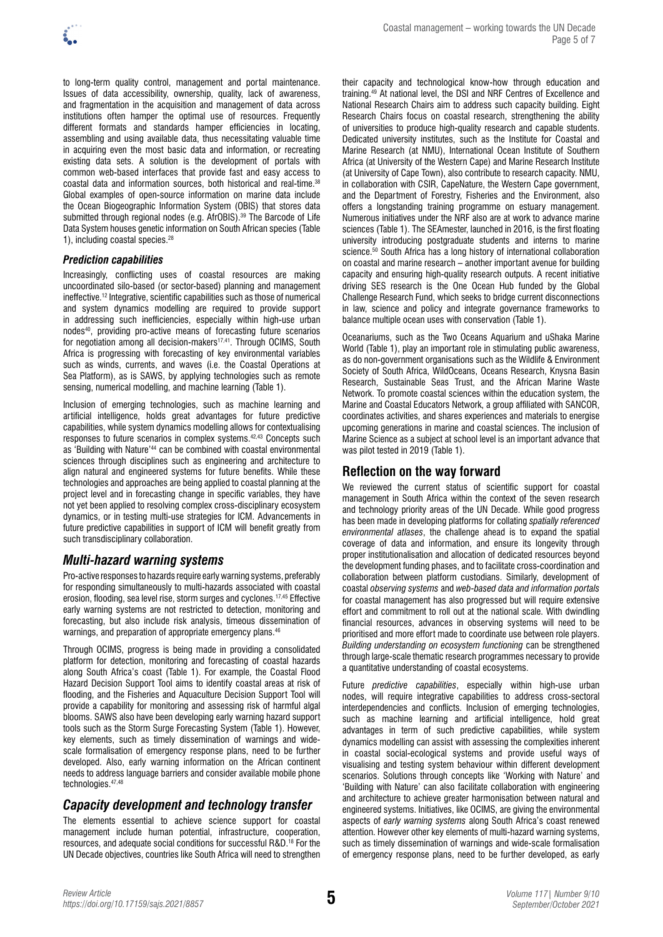

to long-term quality control, management and portal maintenance. Issues of data accessibility, ownership, quality, lack of awareness, and fragmentation in the acquisition and management of data across institutions often hamper the optimal use of resources. Frequently different formats and standards hamper efficiencies in locating, assembling and using available data, thus necessitating valuable time in acquiring even the most basic data and information, or recreating existing data sets. A solution is the development of portals with common web-based interfaces that provide fast and easy access to coastal data and information sources, both historical and real-time.38 Global examples of open-source information on marine data include the Ocean Biogeographic Information System (OBIS) that stores data submitted through regional nodes (e.g. AfrOBIS).<sup>39</sup> The Barcode of Life Data System houses genetic information on South African species (Table 1), including coastal species.<sup>28</sup>

### *Prediction capabilities*

Increasingly, conflicting uses of coastal resources are making uncoordinated silo-based (or sector-based) planning and management ineffective.12 Integrative, scientific capabilities such as those of numerical and system dynamics modelling are required to provide support in addressing such inefficiencies, especially within high-use urban nodes<sup>40</sup>, providing pro-active means of forecasting future scenarios for negotiation among all decision-makers<sup>17,41</sup>. Through OCIMS, South Africa is progressing with forecasting of key environmental variables such as winds, currents, and waves (i.e. the Coastal Operations at Sea Platform), as is SAWS, by applying technologies such as remote sensing, numerical modelling, and machine learning (Table 1).

Inclusion of emerging technologies, such as machine learning and artificial intelligence, holds great advantages for future predictive capabilities, while system dynamics modelling allows for contextualising responses to future scenarios in complex systems.42,43 Concepts such as 'Building with Nature'44 can be combined with coastal environmental sciences through disciplines such as engineering and architecture to align natural and engineered systems for future benefits. While these technologies and approaches are being applied to coastal planning at the project level and in forecasting change in specific variables, they have not yet been applied to resolving complex cross-disciplinary ecosystem dynamics, or in testing multi-use strategies for ICM. Advancements in future predictive capabilities in support of ICM will benefit greatly from such transdisciplinary collaboration.

## *Multi-hazard warning systems*

Pro-active responses to hazards require early warning systems, preferably for responding simultaneously to multi-hazards associated with coastal erosion, flooding, sea level rise, storm surges and cyclones.17,45 Effective early warning systems are not restricted to detection, monitoring and forecasting, but also include risk analysis, timeous dissemination of warnings, and preparation of appropriate emergency plans.<sup>46</sup>

Through OCIMS, progress is being made in providing a consolidated platform for detection, monitoring and forecasting of coastal hazards along South Africa's coast (Table 1). For example, the Coastal Flood Hazard Decision Support Tool aims to identify coastal areas at risk of flooding, and the Fisheries and Aquaculture Decision Support Tool will provide a capability for monitoring and assessing risk of harmful algal blooms. SAWS also have been developing early warning hazard support tools such as the Storm Surge Forecasting System (Table 1). However, key elements, such as timely dissemination of warnings and widescale formalisation of emergency response plans, need to be further developed. Also, early warning information on the African continent needs to address language barriers and consider available mobile phone technologies.47,48

# *Capacity development and technology transfer*

The elements essential to achieve science support for coastal management include human potential, infrastructure, cooperation, resources, and adequate social conditions for successful R&D.18 For the UN Decade objectives, countries like South Africa will need to strengthen their capacity and technological know-how through education and training.49 At national level, the DSI and NRF Centres of Excellence and National Research Chairs aim to address such capacity building. Eight Research Chairs focus on coastal research, strengthening the ability of universities to produce high-quality research and capable students. Dedicated university institutes, such as the Institute for Coastal and Marine Research (at NMU), International Ocean Institute of Southern Africa (at University of the Western Cape) and Marine Research Institute (at University of Cape Town), also contribute to research capacity. NMU, in collaboration with CSIR, CapeNature, the Western Cape government, and the Department of Forestry, Fisheries and the Environment, also offers a longstanding training programme on estuary management. Numerous initiatives under the NRF also are at work to advance marine sciences (Table 1). The SEAmester, launched in 2016, is the first floating university introducing postgraduate students and interns to marine science.<sup>50</sup> South Africa has a long history of international collaboration on coastal and marine research – another important avenue for building capacity and ensuring high-quality research outputs. A recent initiative driving SES research is the One Ocean Hub funded by the Global Challenge Research Fund, which seeks to bridge current disconnections in law, science and policy and integrate governance frameworks to balance multiple ocean uses with conservation (Table 1).

Oceanariums, such as the Two Oceans Aquarium and uShaka Marine World (Table 1), play an important role in stimulating public awareness, as do non-government organisations such as the Wildlife & Environment Society of South Africa, WildOceans, Oceans Research, Knysna Basin Research, Sustainable Seas Trust, and the African Marine Waste Network. To promote coastal sciences within the education system, the Marine and Coastal Educators Network, a group affiliated with SANCOR, coordinates activities, and shares experiences and materials to energise upcoming generations in marine and coastal sciences. The inclusion of Marine Science as a subject at school level is an important advance that was pilot tested in 2019 (Table 1).

# **Reflection on the way forward**

We reviewed the current status of scientific support for coastal management in South Africa within the context of the seven research and technology priority areas of the UN Decade. While good progress has been made in developing platforms for collating *spatially referenced environmental atlases*, the challenge ahead is to expand the spatial coverage of data and information, and ensure its longevity through proper institutionalisation and allocation of dedicated resources beyond the development funding phases, and to facilitate cross-coordination and collaboration between platform custodians. Similarly, development of coastal *observing systems* and *web-based data and information portals* for coastal management has also progressed but will require extensive effort and commitment to roll out at the national scale. With dwindling financial resources, advances in observing systems will need to be prioritised and more effort made to coordinate use between role players. *Building understanding on ecosystem functioning* can be strengthened through large-scale thematic research programmes necessary to provide a quantitative understanding of coastal ecosystems.

Future *predictive capabilities*, especially within high-use urban nodes, will require integrative capabilities to address cross-sectoral interdependencies and conflicts. Inclusion of emerging technologies, such as machine learning and artificial intelligence, hold great advantages in term of such predictive capabilities, while system dynamics modelling can assist with assessing the complexities inherent in coastal social-ecological systems and provide useful ways of visualising and testing system behaviour within different development scenarios. Solutions through concepts like 'Working with Nature' and 'Building with Nature' can also facilitate collaboration with engineering and architecture to achieve greater harmonisation between natural and engineered systems. Initiatives, like OCIMS, are giving the environmental aspects of *early warning systems* along South Africa's coast renewed attention. However other key elements of multi-hazard warning systems, such as timely dissemination of warnings and wide-scale formalisation of emergency response plans, need to be further developed, as early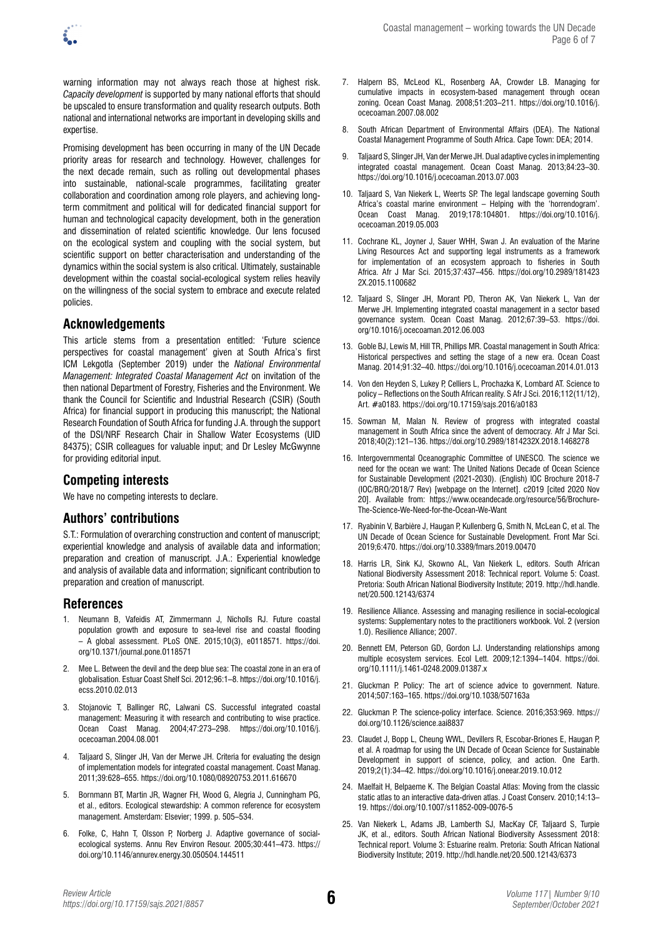warning information may not always reach those at highest risk. *Capacity development* is supported by many national efforts that should be upscaled to ensure transformation and quality research outputs. Both national and international networks are important in developing skills and expertise.

Promising development has been occurring in many of the UN Decade priority areas for research and technology. However, challenges for the next decade remain, such as rolling out developmental phases into sustainable, national-scale programmes, facilitating greater collaboration and coordination among role players, and achieving longterm commitment and political will for dedicated financial support for human and technological capacity development, both in the generation and dissemination of related scientific knowledge. Our lens focused on the ecological system and coupling with the social system, but scientific support on better characterisation and understanding of the dynamics within the social system is also critical. Ultimately, sustainable development within the coastal social-ecological system relies heavily on the willingness of the social system to embrace and execute related policies.

### **Acknowledgements**

This article stems from a presentation entitled: 'Future science perspectives for coastal management' given at South Africa's first ICM Lekgotla (September 2019) under the *National Environmental Management: Integrated Coastal Management Act* on invitation of the then national Department of Forestry, Fisheries and the Environment. We thank the Council for Scientific and Industrial Research (CSIR) (South Africa) for financial support in producing this manuscript; the National Research Foundation of South Africa for funding J.A. through the support of the DSI/NRF Research Chair in Shallow Water Ecosystems (UID 84375); CSIR colleagues for valuable input; and Dr Lesley McGwynne for providing editorial input.

## **Competing interests**

We have no competing interests to declare.

## **Authors' contributions**

S.T.: Formulation of overarching construction and content of manuscript; experiential knowledge and analysis of available data and information; preparation and creation of manuscript. J.A.: Experiential knowledge and analysis of available data and information; significant contribution to preparation and creation of manuscript.

### **References**

- 1. Neumann B, Vafeidis AT, Zimmermann J, Nicholls RJ. Future coastal population growth and exposure to sea-level rise and coastal flooding – A global assessment. PLoS ONE. 2015;10(3), e0118571. [https://doi.](https://doi.org/10.1371/journal.pone.0118571) [org/10.1371/journal.pone.0118571](https://doi.org/10.1371/journal.pone.0118571)
- 2. Mee L. Between the devil and the deep blue sea: The coastal zone in an era of globalisation. Estuar Coast Shelf Sci. 2012;96:1–8. [https://doi.org/10.1016/j.](https://doi.org/10.1016/j.ecss.2010.02.013) [ecss.2010.02.013](https://doi.org/10.1016/j.ecss.2010.02.013)
- 3. Stojanovic T, Ballinger RC, Lalwani CS. Successful integrated coastal management: Measuring it with research and contributing to wise practice. Ocean Coast Manag. 2004;47:273–298. [https://doi.org/10.1016/j.](https://doi.org/10.1016/j.ocecoaman.2004.08.001) [ocecoaman.2004.08.001](https://doi.org/10.1016/j.ocecoaman.2004.08.001)
- 4. Taljaard S, Slinger JH, Van der Merwe JH. Criteria for evaluating the design of implementation models for integrated coastal management. Coast Manag. 2011;39:628–655. <https://doi.org/10.1080/08920753.2011.616670>
- 5. Bornmann BT, Martin JR, Wagner FH, Wood G, Alegria J, Cunningham PG, et al., editors. Ecological stewardship: A common reference for ecosystem management. Amsterdam: Elsevier; 1999. p. 505–534.
- 6. Folke, C, Hahn T, Olsson P, Norberg J. Adaptive governance of socialecological systems. Annu Rev Environ Resour. 2005;30:441–473. [https://](https://doi.org/10.1146/annurev.energy.30.050504.144511) [doi.org/10.1146/annurev.energy.30.050504.144511](https://doi.org/10.1146/annurev.energy.30.050504.144511)
- 7. Halpern BS, McLeod KL, Rosenberg AA, Crowder LB. Managing for cumulative impacts in ecosystem-based management through ocean zoning. Ocean Coast Manag. 2008;51:203–211. [https://doi.org/10.1016/j.](https://doi.org/10.1016/j.ocecoaman.2007.08.002) [ocecoaman.2007.08.002](https://doi.org/10.1016/j.ocecoaman.2007.08.002)
- 8. South African Department of Environmental Affairs (DEA). The National Coastal Management Programme of South Africa. Cape Town: DEA; 2014.
- 9. Taljaard S, Slinger JH, Van der Merwe JH. Dual adaptive cycles in implementing integrated coastal management. Ocean Coast Manag. 2013;84:23–30. <https://doi.org/10.1016/j.ocecoaman.2013.07.003>
- 10. Taljaard S, Van Niekerk L, Weerts SP. The legal landscape governing South Africa's coastal marine environment – Helping with the 'horrendogram'. Ocean Coast Manag. 2019;178:104801. [https://doi.org/10.1016/j.](https://doi.org/10.1016/j.ocecoaman.2019.05.003) [ocecoaman.2019.05.003](https://doi.org/10.1016/j.ocecoaman.2019.05.003)
- 11. Cochrane KL, Joyner J, Sauer WHH, Swan J. An evaluation of the Marine Living Resources Act and supporting legal instruments as a framework for implementation of an ecosystem approach to fisheries in South Africa. Afr J Mar Sci. 2015;37:437–456. [https://doi.org/10.2989/181423](https://doi.org/10.2989/1814232X.2015.1100682) [2X.2015.1100682](https://doi.org/10.2989/1814232X.2015.1100682)
- 12. Taljaard S, Slinger JH, Morant PD, Theron AK, Van Niekerk L, Van der Merwe JH. Implementing integrated coastal management in a sector based governance system. Ocean Coast Manag. 2012;67:39–53. [https://doi.](https://doi.org/10.1016/j.ocecoaman.2012.06.003) [org/10.1016/j.ocecoaman.2012.06.003](https://doi.org/10.1016/j.ocecoaman.2012.06.003)
- 13. Goble BJ, Lewis M, Hill TR, Phillips MR. Coastal management in South Africa: Historical perspectives and setting the stage of a new era. Ocean Coast Manag. 2014;91:32–40.<https://doi.org/10.1016/j.ocecoaman.2014.01.013>
- 14. Von den Heyden S, Lukey P, Celliers L, Prochazka K, Lombard AT. Science to policy – Reflections on the South African reality. S Afr J Sci. 2016;112(11/12), Art. #a0183. <https://doi.org/10.17159/sajs.2016/a0183>
- 15. Sowman M, Malan N. Review of progress with integrated coastal management in South Africa since the advent of democracy. Afr J Mar Sci. 2018;40(2):121–136.<https://doi.org/10.2989/1814232X.2018.1468278>
- 16. Intergovernmental Oceanographic Committee of UNESCO. The science we need for the ocean we want: The United Nations Decade of Ocean Science for Sustainable Development (2021-2030). (English) IOC Brochure 2018-7 (IOC/BRO/2018/7 Rev) [webpage on the Internet]. c2019 [cited 2020 Nov 20]. Available from: [https://www.oceandecade.org/resource/56/Brochure-](https://www.oceandecade.org/resource/56/Brochure-The-Science-We-Need-for-the-Ocean-We-Want)[The-Science-We-Need-for-the-Ocean-We-Want](https://www.oceandecade.org/resource/56/Brochure-The-Science-We-Need-for-the-Ocean-We-Want)
- 17. Ryabinin V, Barbière J, Haugan P, Kullenberg G, Smith N, McLean C, et al. The UN Decade of Ocean Science for Sustainable Development. Front Mar Sci. 2019;6:470. <https://doi.org/10.3389/fmars.2019.00470>
- 18. Harris LR, Sink KJ, Skowno AL, Van Niekerk L, editors. South African National Biodiversity Assessment 2018: Technical report. Volume 5: Coast. Pretoria: South African National Biodiversity Institute; 2019. [http://hdl.handle.](http://hdl.handle.net/20.500.12143/6374) [net/20.500.12143/6374](http://hdl.handle.net/20.500.12143/6374)
- 19. Resilience Alliance. Assessing and managing resilience in social-ecological systems: Supplementary notes to the practitioners workbook. Vol. 2 (version 1.0). Resilience Alliance; 2007.
- 20. Bennett EM, Peterson GD, Gordon LJ. Understanding relationships among multiple ecosystem services. Ecol Lett. 2009;12:1394–1404. [https://doi.](https://doi.org/10.1111/j.1461-0248.2009.01387.x) [org/10.1111/j.1461-0248.2009.01387.x](https://doi.org/10.1111/j.1461-0248.2009.01387.x)
- 21. Gluckman P. Policy: The art of science advice to government. Nature. 2014;507:163–165.<https://doi.org/10.1038/507163a>
- 22. Gluckman P. The science-policy interface. Science. 2016;353:969. [https://](https://doi.org/10.1126/science.aai8837) [doi.org/10.1126/science.aai8837](https://doi.org/10.1126/science.aai8837)
- 23. Claudet J, Bopp L, Cheung WWL, Devillers R, Escobar-Briones E, Haugan P, et al. A roadmap for using the UN Decade of Ocean Science for Sustainable Development in support of science, policy, and action. One Earth. 2019;2(1):34–42. <https://doi.org/10.1016/j.oneear.2019.10.012>
- 24. Maelfait H, Belpaeme K. The Belgian Coastal Atlas: Moving from the classic static atlas to an interactive data-driven atlas. J Coast Conserv. 2010;14:13– 19. <https://doi.org/10.1007/s11852-009-0076-5>
- 25. Van Niekerk L, Adams JB, Lamberth SJ, MacKay CF, Taljaard S, Turpie JK, et al., editors. South African National Biodiversity Assessment 2018: Technical report. Volume 3: Estuarine realm. Pretoria: South African National Biodiversity Institute; 2019.<http://hdl.handle.net/20.500.12143/6373>